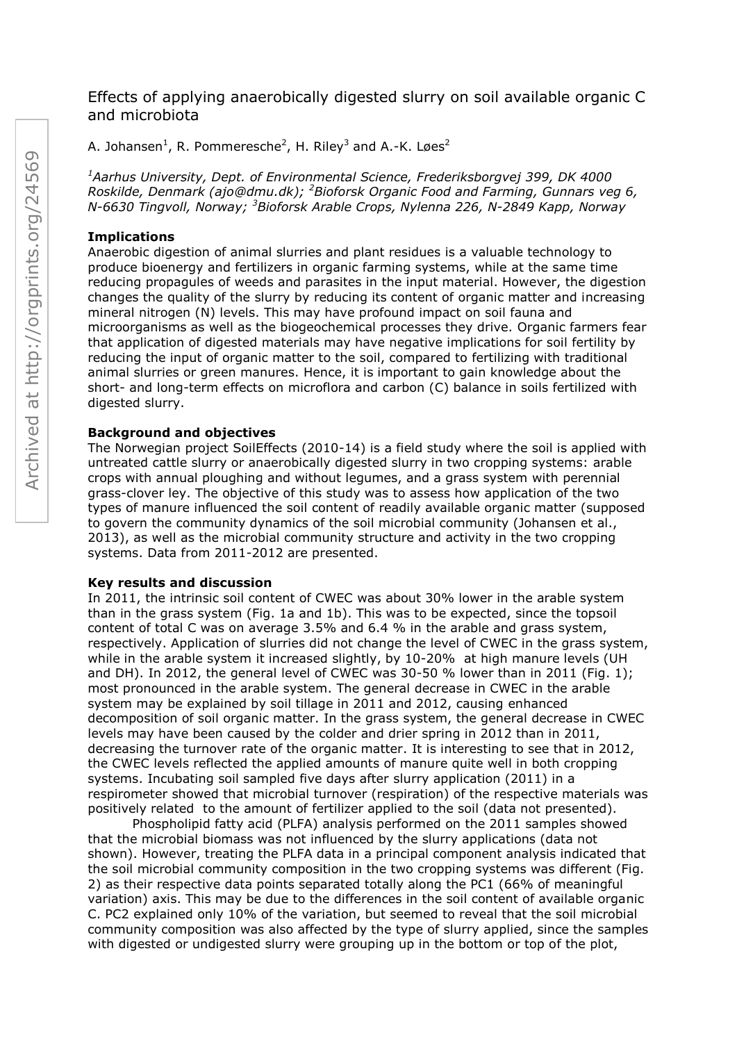# Effects of applying anaerobically digested slurry on soil available organic C and microbiota

A. Johansen $^1$ , R. Pommeresche<sup>2</sup>, H. Riley<sup>3</sup> and A.-K. Løes<sup>2</sup>

*<sup>1</sup>Aarhus University, Dept. of Environmental Science, Frederiksborgvej 399, DK 4000 Roskilde, Denmark (ajo@dmu.dk); <sup>2</sup>Bioforsk Organic Food and Farming, Gunnars veg 6, N-6630 Tingvoll, Norway; <sup>3</sup>Bioforsk Arable Crops, Nylenna 226, N-2849 Kapp, Norway*

# **Implications**

Anaerobic digestion of animal slurries and plant residues is a valuable technology to produce bioenergy and fertilizers in organic farming systems, while at the same time reducing propagules of weeds and parasites in the input material. However, the digestion changes the quality of the slurry by reducing its content of organic matter and increasing mineral nitrogen (N) levels. This may have profound impact on soil fauna and microorganisms as well as the biogeochemical processes they drive. Organic farmers fear that application of digested materials may have negative implications for soil fertility by reducing the input of organic matter to the soil, compared to fertilizing with traditional animal slurries or green manures. Hence, it is important to gain knowledge about the short- and long-term effects on microflora and carbon (C) balance in soils fertilized with digested slurry.

# **Background and objectives**

The Norwegian project SoilEffects (2010-14) is a field study where the soil is applied with untreated cattle slurry or anaerobically digested slurry in two cropping systems: arable crops with annual ploughing and without legumes, and a grass system with perennial grass-clover ley. The objective of this study was to assess how application of the two types of manure influenced the soil content of readily available organic matter (supposed to govern the community dynamics of the soil microbial community (Johansen et al., 2013), as well as the microbial community structure and activity in the two cropping systems. Data from 2011-2012 are presented.

### **Key results and discussion**

In 2011, the intrinsic soil content of CWEC was about 30% lower in the arable system than in the grass system (Fig. 1a and 1b). This was to be expected, since the topsoil content of total C was on average 3.5% and 6.4 % in the arable and grass system, respectively. Application of slurries did not change the level of CWEC in the grass system, while in the arable system it increased slightly, by 10-20% at high manure levels (UH and DH). In 2012, the general level of CWEC was 30-50 % lower than in 2011 (Fig. 1); most pronounced in the arable system. The general decrease in CWEC in the arable system may be explained by soil tillage in 2011 and 2012, causing enhanced decomposition of soil organic matter. In the grass system, the general decrease in CWEC levels may have been caused by the colder and drier spring in 2012 than in 2011, decreasing the turnover rate of the organic matter. It is interesting to see that in 2012, the CWEC levels reflected the applied amounts of manure quite well in both cropping systems. Incubating soil sampled five days after slurry application (2011) in a respirometer showed that microbial turnover (respiration) of the respective materials was positively related to the amount of fertilizer applied to the soil (data not presented).

Phospholipid fatty acid (PLFA) analysis performed on the 2011 samples showed that the microbial biomass was not influenced by the slurry applications (data not shown). However, treating the PLFA data in a principal component analysis indicated that the soil microbial community composition in the two cropping systems was different (Fig. 2) as their respective data points separated totally along the PC1 (66% of meaningful variation) axis. This may be due to the differences in the soil content of available organic C. PC2 explained only 10% of the variation, but seemed to reveal that the soil microbial community composition was also affected by the type of slurry applied, since the samples with digested or undigested slurry were grouping up in the bottom or top of the plot,